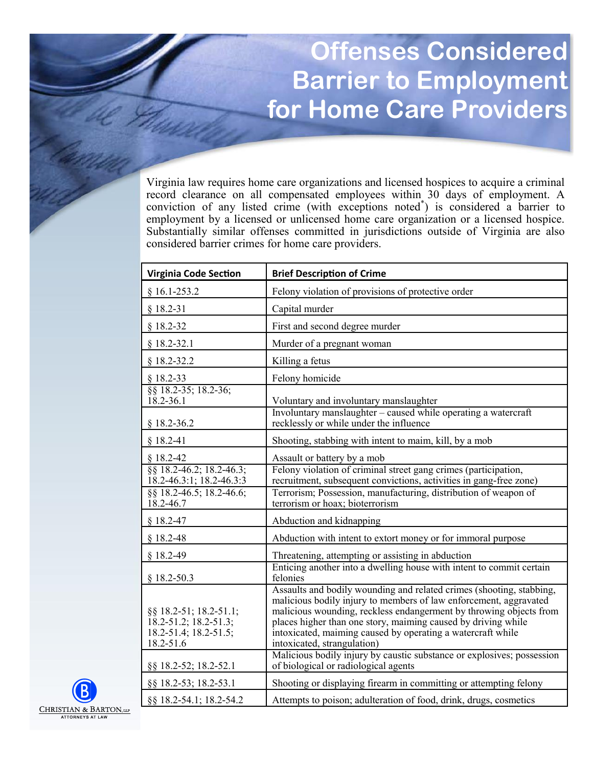## **Offenses Considered Barrier to Employment for Home Care Providers**

Virginia law requires home care organizations and licensed hospices to acquire a criminal record clearance on all compensated employees within 30 days of employment. A conviction of any listed crime (with exceptions noted\* ) is considered a barrier to employment by a licensed or unlicensed home care organization or a licensed hospice. Substantially similar offenses committed in jurisdictions outside of Virginia are also considered barrier crimes for home care providers.

| <b>Virginia Code Section</b>                                                                                | <b>Brief Description of Crime</b>                                                                                                                                                                                                                                                                                                                                              |
|-------------------------------------------------------------------------------------------------------------|--------------------------------------------------------------------------------------------------------------------------------------------------------------------------------------------------------------------------------------------------------------------------------------------------------------------------------------------------------------------------------|
| $§ 16.1-253.2$                                                                                              | Felony violation of provisions of protective order                                                                                                                                                                                                                                                                                                                             |
| $§ 18.2 - 31$                                                                                               | Capital murder                                                                                                                                                                                                                                                                                                                                                                 |
| $§$ 18.2-32                                                                                                 | First and second degree murder                                                                                                                                                                                                                                                                                                                                                 |
| $§$ 18.2-32.1                                                                                               | Murder of a pregnant woman                                                                                                                                                                                                                                                                                                                                                     |
| $§$ 18.2-32.2                                                                                               | Killing a fetus                                                                                                                                                                                                                                                                                                                                                                |
| $§$ 18.2-33                                                                                                 | Felony homicide                                                                                                                                                                                                                                                                                                                                                                |
| §§ 18.2-35; 18.2-36;<br>18.2-36.1                                                                           | Voluntary and involuntary manslaughter<br>Involuntary manslaughter - caused while operating a watercraft                                                                                                                                                                                                                                                                       |
| $§$ 18.2-36.2                                                                                               | recklessly or while under the influence                                                                                                                                                                                                                                                                                                                                        |
| $§ 18.2-41$                                                                                                 | Shooting, stabbing with intent to maim, kill, by a mob                                                                                                                                                                                                                                                                                                                         |
| $$18.2-42$<br>§§ 18.2-46.2; 18.2-46.3;<br>18.2-46.3:1; 18.2-46.3:3<br>88 18.2-46.5; 18.2-46.6;<br>18.2-46.7 | Assault or battery by a mob<br>Felony violation of criminal street gang crimes (participation,<br>recruitment, subsequent convictions, activities in gang-free zone)<br>Terrorism; Possession, manufacturing, distribution of weapon of<br>terrorism or hoax; bioterrorism                                                                                                     |
| $§ 18.2 - 47$                                                                                               | Abduction and kidnapping                                                                                                                                                                                                                                                                                                                                                       |
| $$18.2-48$                                                                                                  | Abduction with intent to extort money or for immoral purpose                                                                                                                                                                                                                                                                                                                   |
| $§$ 18.2-49                                                                                                 | Threatening, attempting or assisting in abduction                                                                                                                                                                                                                                                                                                                              |
| $§$ 18.2-50.3                                                                                               | Enticing another into a dwelling house with intent to commit certain<br>felonies                                                                                                                                                                                                                                                                                               |
| §§ 18.2-51; 18.2-51.1;<br>18.2-51.2; 18.2-51.3;<br>18.2-51.4; 18.2-51.5;<br>18.2-51.6                       | Assaults and bodily wounding and related crimes (shooting, stabbing,<br>malicious bodily injury to members of law enforcement, aggravated<br>malicious wounding, reckless endangerment by throwing objects from<br>places higher than one story, maiming caused by driving while<br>intoxicated, maiming caused by operating a watercraft while<br>intoxicated, strangulation) |
| §§ 18.2-52; 18.2-52.1                                                                                       | Malicious bodily injury by caustic substance or explosives; possession<br>of biological or radiological agents                                                                                                                                                                                                                                                                 |
| §§ 18.2-53; 18.2-53.1                                                                                       | Shooting or displaying firearm in committing or attempting felony                                                                                                                                                                                                                                                                                                              |
| §§ 18.2-54.1; 18.2-54.2                                                                                     | Attempts to poison; adulteration of food, drink, drugs, cosmetics                                                                                                                                                                                                                                                                                                              |

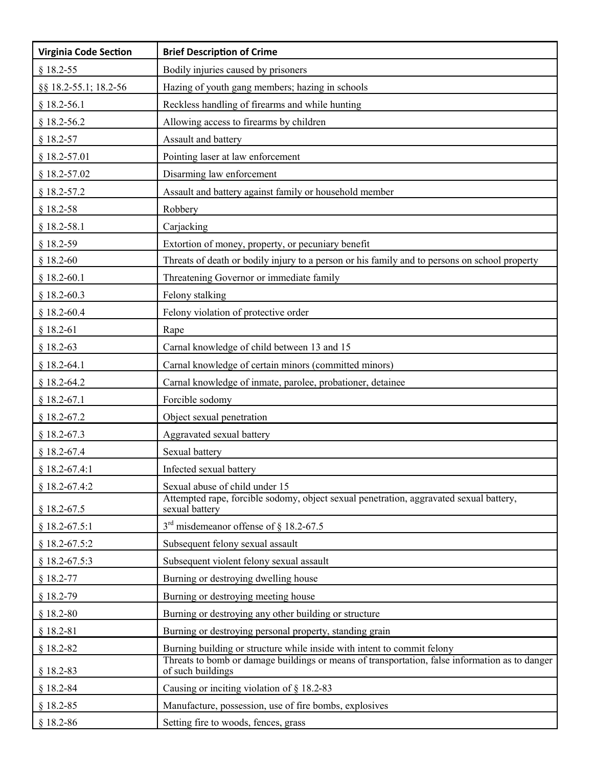| <b>Virginia Code Section</b> | <b>Brief Description of Crime</b>                                                                                   |
|------------------------------|---------------------------------------------------------------------------------------------------------------------|
| $§$ 18.2-55                  | Bodily injuries caused by prisoners                                                                                 |
| §§ 18.2-55.1; 18.2-56        | Hazing of youth gang members; hazing in schools                                                                     |
| $§$ 18.2-56.1                | Reckless handling of firearms and while hunting                                                                     |
| $§$ 18.2-56.2                | Allowing access to firearms by children                                                                             |
| $§$ 18.2-57                  | Assault and battery                                                                                                 |
| $§$ 18.2-57.01               | Pointing laser at law enforcement                                                                                   |
| $§$ 18.2-57.02               | Disarming law enforcement                                                                                           |
| $§$ 18.2-57.2                | Assault and battery against family or household member                                                              |
| $§$ 18.2-58                  | Robbery                                                                                                             |
| $§$ 18.2-58.1                | Carjacking                                                                                                          |
| $§$ 18.2-59                  | Extortion of money, property, or pecuniary benefit                                                                  |
| $§$ 18.2-60                  | Threats of death or bodily injury to a person or his family and to persons on school property                       |
| $§$ 18.2-60.1                | Threatening Governor or immediate family                                                                            |
| $§$ 18.2-60.3                | Felony stalking                                                                                                     |
| $§$ 18.2-60.4                | Felony violation of protective order                                                                                |
| $§$ 18.2-61                  | Rape                                                                                                                |
| $$18.2-63$                   | Carnal knowledge of child between 13 and 15                                                                         |
| $§$ 18.2-64.1                | Carnal knowledge of certain minors (committed minors)                                                               |
| $§$ 18.2-64.2                | Carnal knowledge of inmate, parolee, probationer, detainee                                                          |
| $§$ 18.2-67.1                | Forcible sodomy                                                                                                     |
| $§$ 18.2-67.2                | Object sexual penetration                                                                                           |
| $§$ 18.2-67.3                | Aggravated sexual battery                                                                                           |
| $§$ 18.2-67.4                | Sexual battery                                                                                                      |
| $§$ 18.2-67.4:1              | Infected sexual battery                                                                                             |
| $§$ 18.2-67.4:2              | Sexual abuse of child under 15                                                                                      |
| $§$ 18.2-67.5                | Attempted rape, forcible sodomy, object sexual penetration, aggravated sexual battery,<br>sexual battery            |
| $§$ 18.2-67.5:1              | $3rd$ misdemeanor offense of § 18.2-67.5                                                                            |
| $§$ 18.2-67.5:2              | Subsequent felony sexual assault                                                                                    |
| $§$ 18.2-67.5:3              | Subsequent violent felony sexual assault                                                                            |
| $§$ 18.2-77                  | Burning or destroying dwelling house                                                                                |
| $§$ 18.2-79                  | Burning or destroying meeting house                                                                                 |
| $$18.2-80$                   | Burning or destroying any other building or structure                                                               |
| $§ 18.2 - 81$                | Burning or destroying personal property, standing grain                                                             |
| $$18.2-82$                   | Burning building or structure while inside with intent to commit felony                                             |
| $§$ 18.2-83                  | Threats to bomb or damage buildings or means of transportation, false information as to danger<br>of such buildings |
| $$18.2-84$                   | Causing or inciting violation of $\S$ 18.2-83                                                                       |
| $§$ 18.2-85                  | Manufacture, possession, use of fire bombs, explosives                                                              |
| $$18.2-86$                   | Setting fire to woods, fences, grass                                                                                |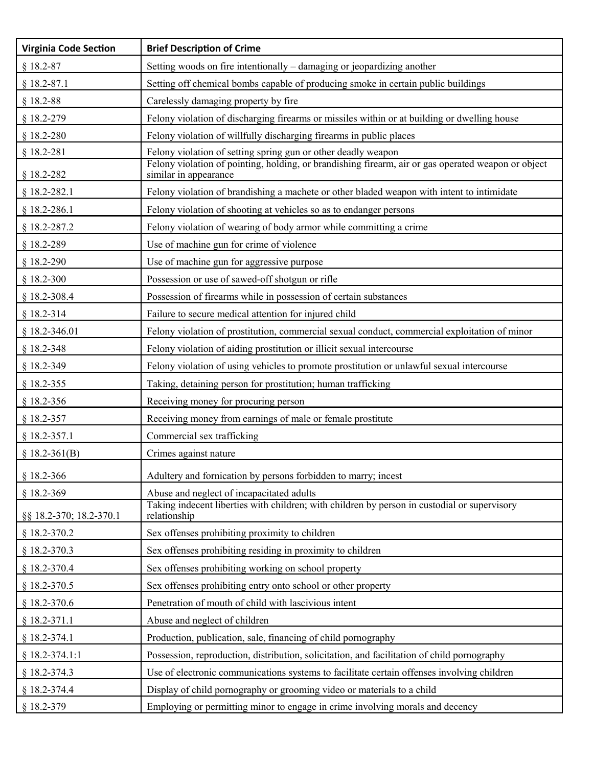| <b>Virginia Code Section</b> | <b>Brief Description of Crime</b>                                                                                            |
|------------------------------|------------------------------------------------------------------------------------------------------------------------------|
| $$18.2-87$                   | Setting woods on fire intentionally – damaging or jeopardizing another                                                       |
| $§$ 18.2-87.1                | Setting off chemical bombs capable of producing smoke in certain public buildings                                            |
| $$18.2-88$                   | Carelessly damaging property by fire                                                                                         |
| $§$ 18.2-279                 | Felony violation of discharging firearms or missiles within or at building or dwelling house                                 |
| $§$ 18.2-280                 | Felony violation of willfully discharging firearms in public places                                                          |
| $§ 18.2 - 281$               | Felony violation of setting spring gun or other deadly weapon                                                                |
| $§$ 18.2-282                 | Felony violation of pointing, holding, or brandishing firearm, air or gas operated weapon or object<br>similar in appearance |
| $§$ 18.2-282.1               | Felony violation of brandishing a machete or other bladed weapon with intent to intimidate                                   |
| $§$ 18.2-286.1               | Felony violation of shooting at vehicles so as to endanger persons                                                           |
| $§$ 18.2-287.2               | Felony violation of wearing of body armor while committing a crime                                                           |
| $§$ 18.2-289                 | Use of machine gun for crime of violence                                                                                     |
| $§$ 18.2-290                 | Use of machine gun for aggressive purpose                                                                                    |
| $$18.2-300$                  | Possession or use of sawed-off shotgun or rifle                                                                              |
| $§$ 18.2-308.4               | Possession of firearms while in possession of certain substances                                                             |
| $§ 18.2 - 314$               | Failure to secure medical attention for injured child                                                                        |
| $§$ 18.2-346.01              | Felony violation of prostitution, commercial sexual conduct, commercial exploitation of minor                                |
| § 18.2-348                   | Felony violation of aiding prostitution or illicit sexual intercourse                                                        |
| $§$ 18.2-349                 | Felony violation of using vehicles to promote prostitution or unlawful sexual intercourse                                    |
| $§$ 18.2-355                 | Taking, detaining person for prostitution; human trafficking                                                                 |
| $§$ 18.2-356                 | Receiving money for procuring person                                                                                         |
| $§$ 18.2-357                 | Receiving money from earnings of male or female prostitute                                                                   |
| $§$ 18.2-357.1               | Commercial sex trafficking                                                                                                   |
| $$18.2-361(B)$               | Crimes against nature                                                                                                        |
| $§$ 18.2-366                 | Adultery and fornication by persons forbidden to marry; incest                                                               |
| $§$ 18.2-369                 | Abuse and neglect of incapacitated adults                                                                                    |
| §§ 18.2-370; 18.2-370.1      | Taking indecent liberties with children; with children by person in custodial or supervisory<br>relationship                 |
| $§$ 18.2-370.2               | Sex offenses prohibiting proximity to children                                                                               |
| $§$ 18.2-370.3               | Sex offenses prohibiting residing in proximity to children                                                                   |
| $§$ 18.2-370.4               | Sex offenses prohibiting working on school property                                                                          |
| $§$ 18.2-370.5               | Sex offenses prohibiting entry onto school or other property                                                                 |
| $§$ 18.2-370.6               | Penetration of mouth of child with lascivious intent                                                                         |
| $§ 18.2 - 371.1$             | Abuse and neglect of children                                                                                                |
| $§ 18.2 - 374.1$             | Production, publication, sale, financing of child pornography                                                                |
| $§ 18.2 - 374.1:1$           | Possession, reproduction, distribution, solicitation, and facilitation of child pornography                                  |
| $§$ 18.2-374.3               | Use of electronic communications systems to facilitate certain offenses involving children                                   |
| $§$ 18.2-374.4               | Display of child pornography or grooming video or materials to a child                                                       |
| § 18.2-379                   | Employing or permitting minor to engage in crime involving morals and decency                                                |